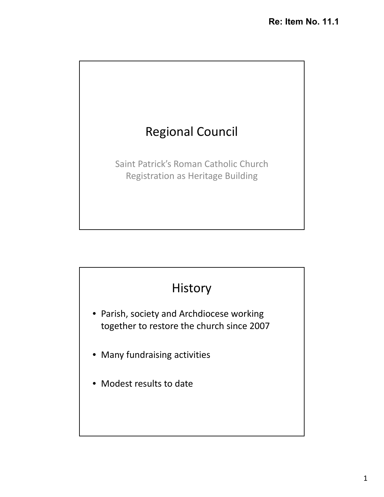

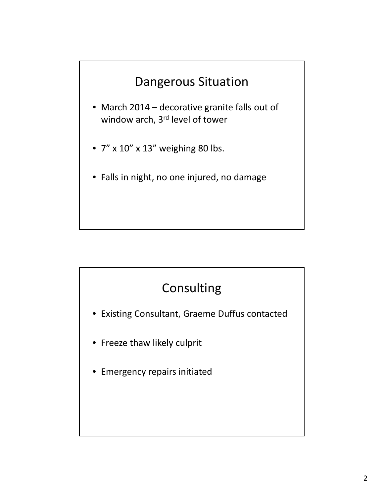# Dangerous Situation

- March 2014 decorative granite falls out of window arch, 3<sup>rd</sup> level of tower
- 7" x 10" x 13" weighing 80 lbs.
- Falls in night, no one injured, no damage

# Consulting

- Existing Consultant, Graeme Duffus contacted
- Freeze thaw likely culprit
- Emergency repairs initiated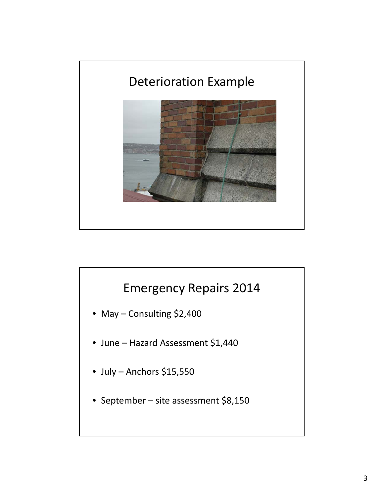

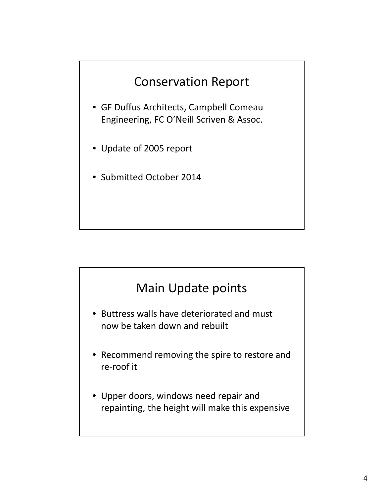

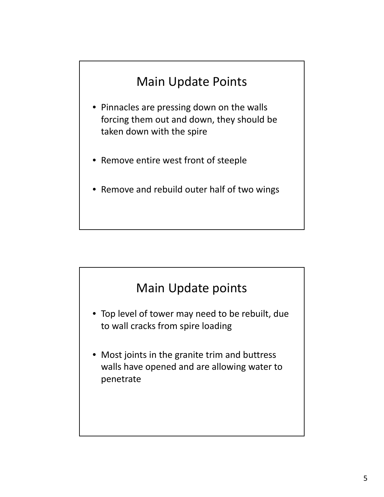# Main Update Points

- Pinnacles are pressing down on the walls forcing them out and down, they should be taken down with the spire
- Remove entire west front of steeple
- Remove and rebuild outer half of two wings

### Main Update points

- Top level of tower may need to be rebuilt, due to wall cracks from spire loading
- Most joints in the granite trim and buttress walls have opened and are allowing water to penetrate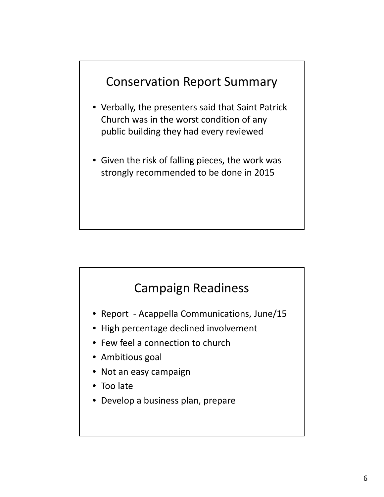# Conservation Report Summary

- Verbally, the presenters said that Saint Patrick Church was in the worst condition of any public building they had every reviewed
- Given the risk of falling pieces, the work was strongly recommended to be done in 2015

### Campaign Readiness

- Report Acappella Communications, June/15
- High percentage declined involvement
- Few feel a connection to church
- Ambitious goal
- Not an easy campaign
- Too late
- Develop a business plan, prepare